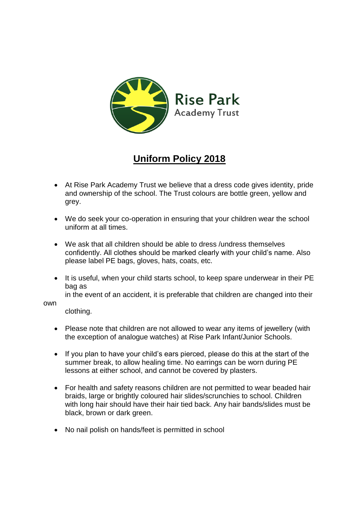

# **Uniform Policy 2018**

- At Rise Park Academy Trust we believe that a dress code gives identity, pride and ownership of the school. The Trust colours are bottle green, yellow and grey.
- We do seek your co-operation in ensuring that your children wear the school uniform at all times.
- We ask that all children should be able to dress /undress themselves confidently. All clothes should be marked clearly with your child's name. Also please label PE bags, gloves, hats, coats, etc.
- It is useful, when your child starts school, to keep spare underwear in their PE bag as

in the event of an accident, it is preferable that children are changed into their

#### own

clothing.

- Please note that children are not allowed to wear any items of jewellery (with the exception of analogue watches) at Rise Park Infant/Junior Schools.
- If you plan to have your child's ears pierced, please do this at the start of the summer break, to allow healing time. No earrings can be worn during PE lessons at either school, and cannot be covered by plasters.
- For health and safety reasons children are not permitted to wear beaded hair braids, large or brightly coloured hair slides/scrunchies to school. Children with long hair should have their hair tied back. Any hair bands/slides must be black, brown or dark green.
- No nail polish on hands/feet is permitted in school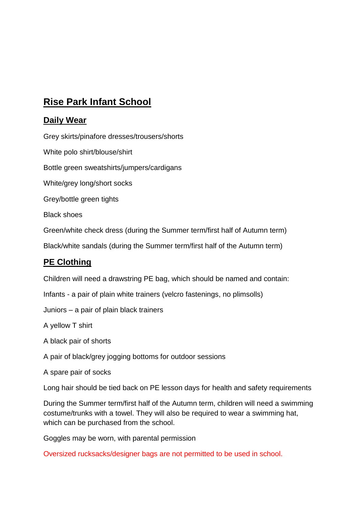## **Rise Park Infant School**

#### **Daily Wear**

Grey skirts/pinafore dresses/trousers/shorts

White polo shirt/blouse/shirt

Bottle green sweatshirts/jumpers/cardigans

White/grey long/short socks

Grey/bottle green tights

Black shoes

Green/white check dress (during the Summer term/first half of Autumn term)

Black/white sandals (during the Summer term/first half of the Autumn term)

#### **PE Clothing**

Children will need a drawstring PE bag, which should be named and contain:

Infants - a pair of plain white trainers (velcro fastenings, no plimsolls)

Juniors – a pair of plain black trainers

A yellow T shirt

A black pair of shorts

- A pair of black/grey jogging bottoms for outdoor sessions
- A spare pair of socks

Long hair should be tied back on PE lesson days for health and safety requirements

During the Summer term/first half of the Autumn term, children will need a swimming costume/trunks with a towel. They will also be required to wear a swimming hat, which can be purchased from the school.

Goggles may be worn, with parental permission

Oversized rucksacks/designer bags are not permitted to be used in school.